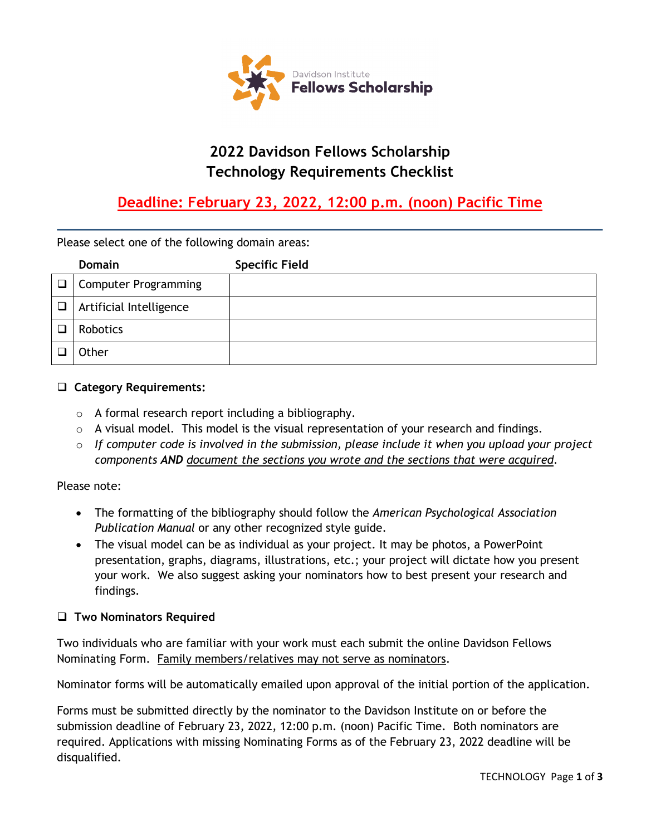

# **2022 Davidson Fellows Scholarship Technology Requirements Checklist**

# **Deadline: February 23, 2022, 12:00 p.m. (noon) Pacific Time**

Please select one of the following domain areas:

|   | Domain                      | <b>Specific Field</b> |
|---|-----------------------------|-----------------------|
|   | $\Box$ Computer Programming |                       |
| □ | Artificial Intelligence     |                       |
|   | Robotics                    |                       |
|   | Other                       |                       |

#### **Category Requirements:**

- o A formal research report including a bibliography.
- $\circ$  A visual model. This model is the visual representation of your research and findings.
- o *If computer code is involved in the submission, please include it when you upload your project components AND document the sections you wrote and the sections that were acquired.*

#### Please note:

- The formatting of the bibliography should follow the *American Psychological Association Publication Manual* or any other recognized style guide.
- The visual model can be as individual as your project. It may be photos, a PowerPoint presentation, graphs, diagrams, illustrations, etc.; your project will dictate how you present your work. We also suggest asking your nominators how to best present your research and findings.

#### **Two Nominators Required**

Two individuals who are familiar with your work must each submit the online Davidson Fellows Nominating Form. Family members/relatives may not serve as nominators.

Nominator forms will be automatically emailed upon approval of the initial portion of the application.

Forms must be submitted directly by the nominator to the Davidson Institute on or before the submission deadline of February 23, 2022, 12:00 p.m. (noon) Pacific Time. Both nominators are required. Applications with missing Nominating Forms as of the February 23, 2022 deadline will be disqualified.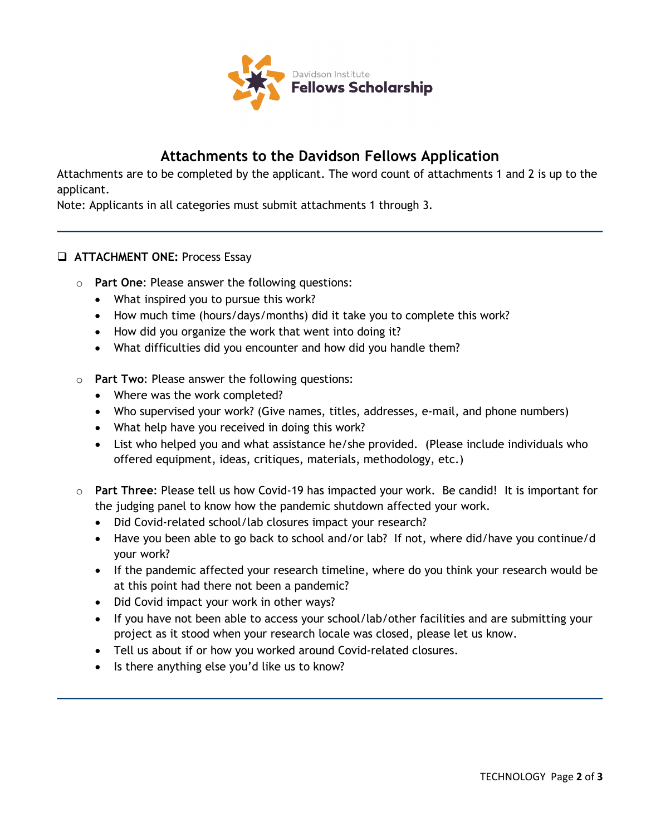

## **Attachments to the Davidson Fellows Application**

Attachments are to be completed by the applicant. The word count of attachments 1 and 2 is up to the applicant.

Note: Applicants in all categories must submit attachments 1 through 3.

#### **ATTACHMENT ONE:** Process Essay

- o **Part One**: Please answer the following questions:
	- What inspired you to pursue this work?
	- How much time (hours/days/months) did it take you to complete this work?
	- How did you organize the work that went into doing it?
	- What difficulties did you encounter and how did you handle them?
- o **Part Two**: Please answer the following questions:
	- Where was the work completed?
	- Who supervised your work? (Give names, titles, addresses, e-mail, and phone numbers)
	- What help have you received in doing this work?
	- List who helped you and what assistance he/she provided. (Please include individuals who offered equipment, ideas, critiques, materials, methodology, etc.)
- o **Part Three**: Please tell us how Covid-19 has impacted your work. Be candid! It is important for the judging panel to know how the pandemic shutdown affected your work.
	- Did Covid-related school/lab closures impact your research?
	- Have you been able to go back to school and/or lab? If not, where did/have you continue/d your work?
	- If the pandemic affected your research timeline, where do you think your research would be at this point had there not been a pandemic?
	- Did Covid impact your work in other ways?
	- If you have not been able to access your school/lab/other facilities and are submitting your project as it stood when your research locale was closed, please let us know.
	- Tell us about if or how you worked around Covid-related closures.
	- Is there anything else you'd like us to know?